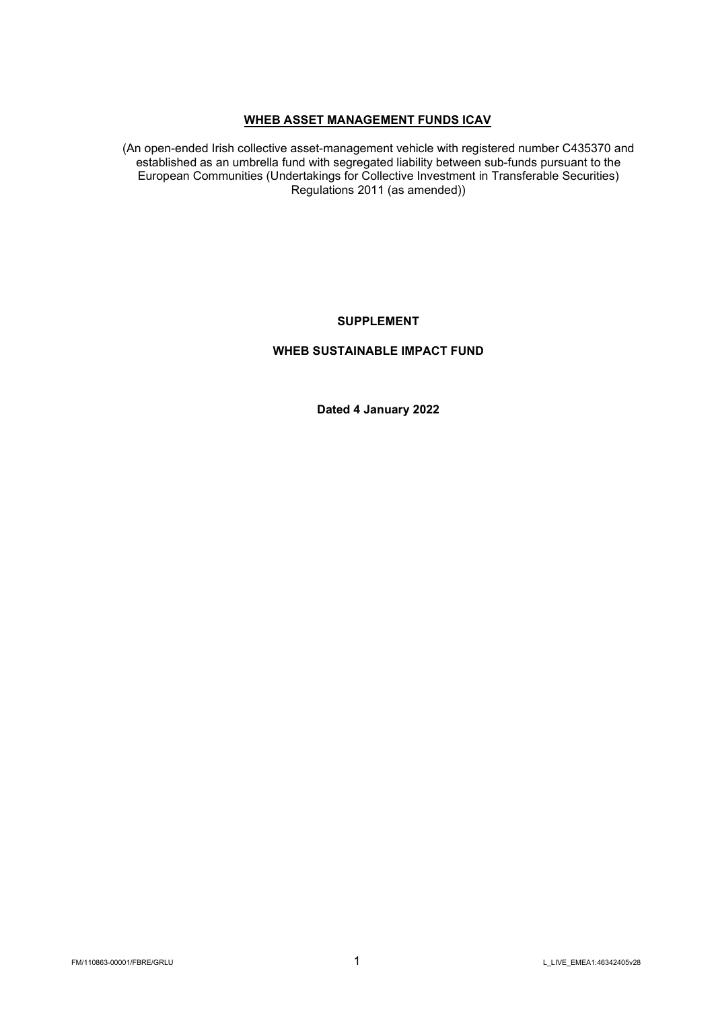# WHEB ASSET MANAGEMENT FUNDS ICAV

(An open-ended Irish collective asset-management vehicle with registered number C435370 and established as an umbrella fund with segregated liability between sub-funds pursuant to the European Communities (Undertakings for Collective Investment in Transferable Securities) Regulations 2011 (as amended))

# SUPPLEMENT

# WHEB SUSTAINABLE IMPACT FUND

Dated 4 January 2022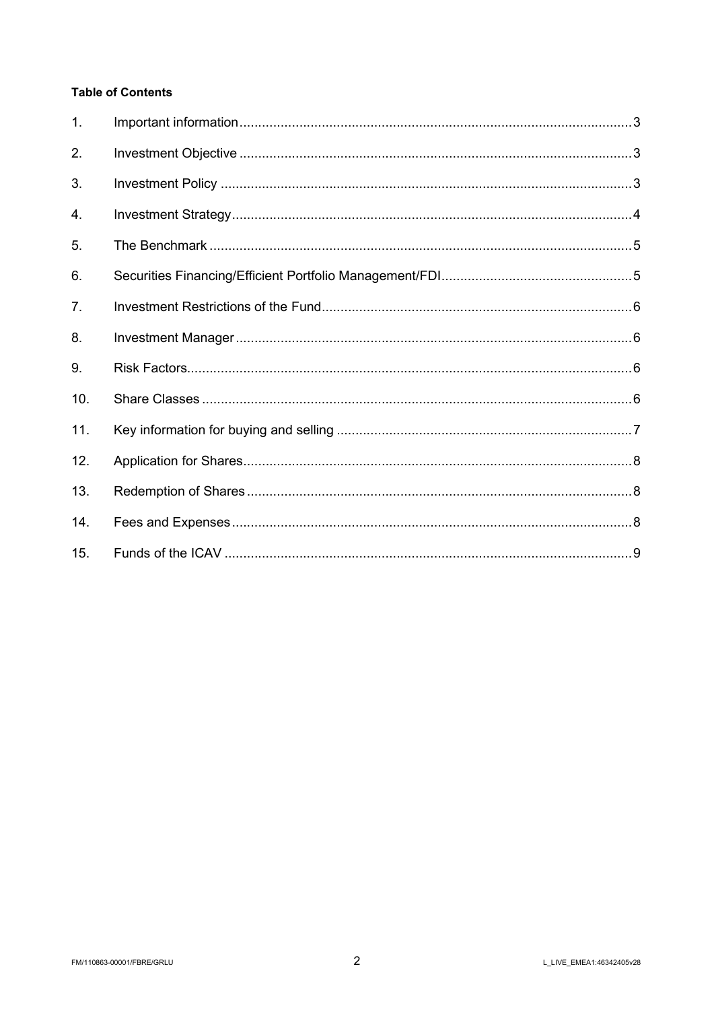# **Table of Contents**

| 1.  |  |
|-----|--|
| 2.  |  |
| 3.  |  |
| 4.  |  |
| 5.  |  |
| 6.  |  |
| 7.  |  |
| 8.  |  |
| 9.  |  |
| 10. |  |
| 11. |  |
| 12. |  |
| 13. |  |
| 14. |  |
| 15. |  |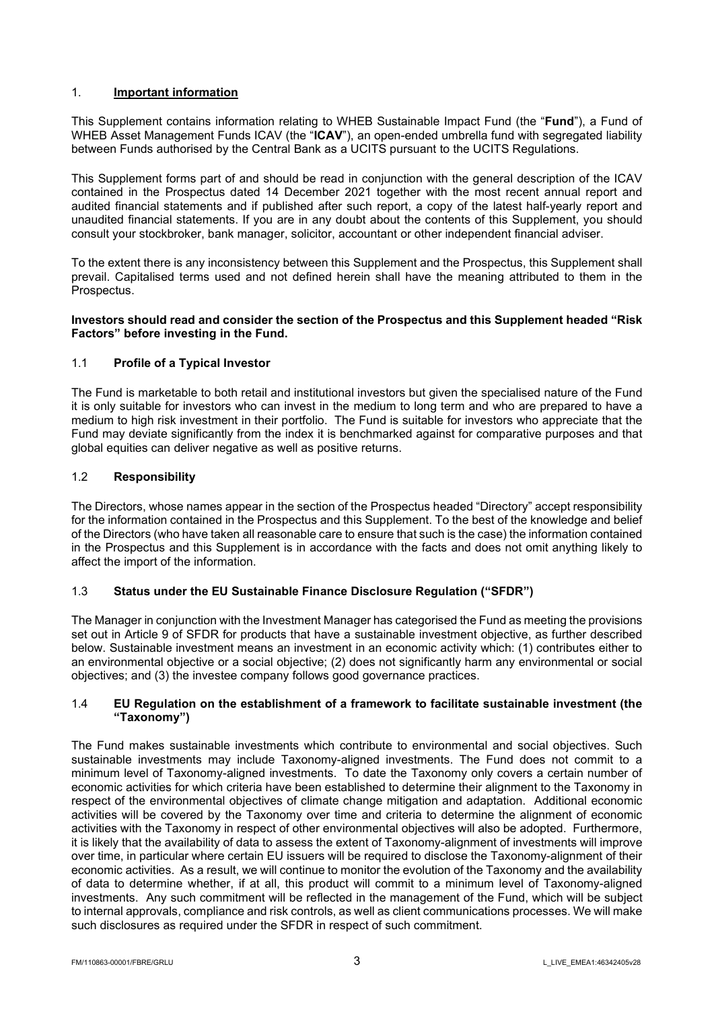## 1. Important information

This Supplement contains information relating to WHEB Sustainable Impact Fund (the "**Fund**"), a Fund of WHEB Asset Management Funds ICAV (the "ICAV"), an open-ended umbrella fund with segregated liability between Funds authorised by the Central Bank as a UCITS pursuant to the UCITS Regulations.

This Supplement forms part of and should be read in conjunction with the general description of the ICAV contained in the Prospectus dated 14 December 2021 together with the most recent annual report and audited financial statements and if published after such report, a copy of the latest half-yearly report and unaudited financial statements. If you are in any doubt about the contents of this Supplement, you should consult your stockbroker, bank manager, solicitor, accountant or other independent financial adviser.

To the extent there is any inconsistency between this Supplement and the Prospectus, this Supplement shall prevail. Capitalised terms used and not defined herein shall have the meaning attributed to them in the Prospectus.

## Investors should read and consider the section of the Prospectus and this Supplement headed "Risk Factors" before investing in the Fund.

## 1.1 Profile of a Typical Investor

The Fund is marketable to both retail and institutional investors but given the specialised nature of the Fund it is only suitable for investors who can invest in the medium to long term and who are prepared to have a medium to high risk investment in their portfolio. The Fund is suitable for investors who appreciate that the Fund may deviate significantly from the index it is benchmarked against for comparative purposes and that global equities can deliver negative as well as positive returns.

## 1.2 Responsibility

The Directors, whose names appear in the section of the Prospectus headed "Directory" accept responsibility for the information contained in the Prospectus and this Supplement. To the best of the knowledge and belief of the Directors (who have taken all reasonable care to ensure that such is the case) the information contained in the Prospectus and this Supplement is in accordance with the facts and does not omit anything likely to affect the import of the information.

## 1.3 Status under the EU Sustainable Finance Disclosure Regulation ("SFDR")

The Manager in conjunction with the Investment Manager has categorised the Fund as meeting the provisions set out in Article 9 of SFDR for products that have a sustainable investment objective, as further described below. Sustainable investment means an investment in an economic activity which: (1) contributes either to an environmental objective or a social objective; (2) does not significantly harm any environmental or social objectives; and (3) the investee company follows good governance practices.

## 1.4 EU Regulation on the establishment of a framework to facilitate sustainable investment (the "Taxonomy")

The Fund makes sustainable investments which contribute to environmental and social objectives. Such sustainable investments may include Taxonomy-aligned investments. The Fund does not commit to a minimum level of Taxonomy-aligned investments. To date the Taxonomy only covers a certain number of economic activities for which criteria have been established to determine their alignment to the Taxonomy in respect of the environmental objectives of climate change mitigation and adaptation. Additional economic activities will be covered by the Taxonomy over time and criteria to determine the alignment of economic activities with the Taxonomy in respect of other environmental objectives will also be adopted. Furthermore, it is likely that the availability of data to assess the extent of Taxonomy-alignment of investments will improve over time, in particular where certain EU issuers will be required to disclose the Taxonomy-alignment of their economic activities. As a result, we will continue to monitor the evolution of the Taxonomy and the availability of data to determine whether, if at all, this product will commit to a minimum level of Taxonomy-aligned investments. Any such commitment will be reflected in the management of the Fund, which will be subject to internal approvals, compliance and risk controls, as well as client communications processes. We will make such disclosures as required under the SFDR in respect of such commitment.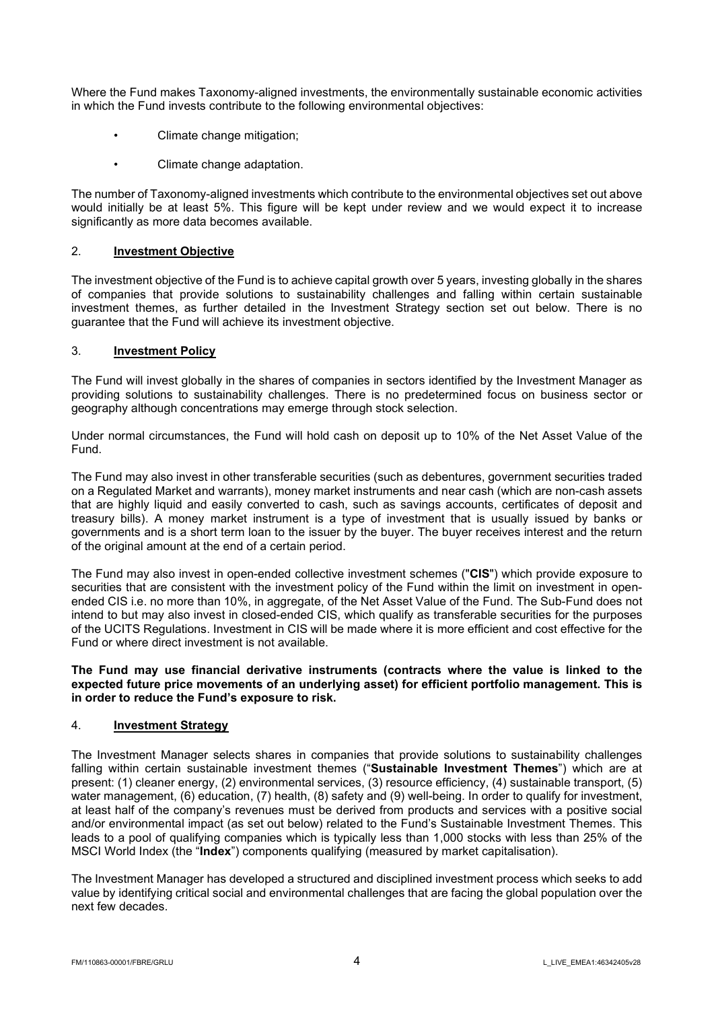Where the Fund makes Taxonomy-aligned investments, the environmentally sustainable economic activities in which the Fund invests contribute to the following environmental objectives:

- Climate change mitigation;
- Climate change adaptation.

The number of Taxonomy-aligned investments which contribute to the environmental objectives set out above would initially be at least 5%. This figure will be kept under review and we would expect it to increase significantly as more data becomes available.

### 2. Investment Objective

The investment objective of the Fund is to achieve capital growth over 5 years, investing globally in the shares of companies that provide solutions to sustainability challenges and falling within certain sustainable investment themes, as further detailed in the Investment Strategy section set out below. There is no guarantee that the Fund will achieve its investment objective.

## 3. Investment Policy

The Fund will invest globally in the shares of companies in sectors identified by the Investment Manager as providing solutions to sustainability challenges. There is no predetermined focus on business sector or geography although concentrations may emerge through stock selection.

Under normal circumstances, the Fund will hold cash on deposit up to 10% of the Net Asset Value of the Fund.

The Fund may also invest in other transferable securities (such as debentures, government securities traded on a Regulated Market and warrants), money market instruments and near cash (which are non-cash assets that are highly liquid and easily converted to cash, such as savings accounts, certificates of deposit and treasury bills). A money market instrument is a type of investment that is usually issued by banks or governments and is a short term loan to the issuer by the buyer. The buyer receives interest and the return of the original amount at the end of a certain period.

The Fund may also invest in open-ended collective investment schemes ("CIS") which provide exposure to securities that are consistent with the investment policy of the Fund within the limit on investment in openended CIS i.e. no more than 10%, in aggregate, of the Net Asset Value of the Fund. The Sub-Fund does not intend to but may also invest in closed-ended CIS, which qualify as transferable securities for the purposes of the UCITS Regulations. Investment in CIS will be made where it is more efficient and cost effective for the Fund or where direct investment is not available.

### The Fund may use financial derivative instruments (contracts where the value is linked to the expected future price movements of an underlying asset) for efficient portfolio management. This is in order to reduce the Fund's exposure to risk.

### 4. Investment Strategy

The Investment Manager selects shares in companies that provide solutions to sustainability challenges falling within certain sustainable investment themes ("Sustainable Investment Themes") which are at present: (1) cleaner energy, (2) environmental services, (3) resource efficiency, (4) sustainable transport, (5) water management, (6) education, (7) health, (8) safety and (9) well-being. In order to qualify for investment, at least half of the company's revenues must be derived from products and services with a positive social and/or environmental impact (as set out below) related to the Fund's Sustainable Investment Themes. This leads to a pool of qualifying companies which is typically less than 1,000 stocks with less than 25% of the MSCI World Index (the "Index") components qualifying (measured by market capitalisation).

The Investment Manager has developed a structured and disciplined investment process which seeks to add value by identifying critical social and environmental challenges that are facing the global population over the next few decades.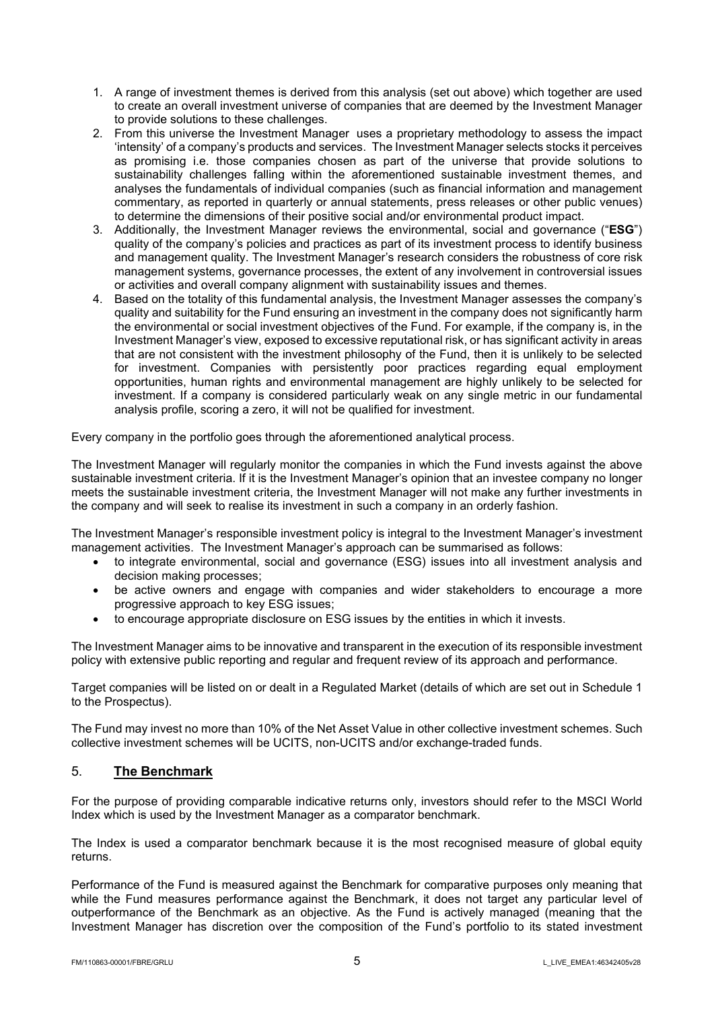- 1. A range of investment themes is derived from this analysis (set out above) which together are used to create an overall investment universe of companies that are deemed by the Investment Manager to provide solutions to these challenges.
- 2. From this universe the Investment Manager uses a proprietary methodology to assess the impact 'intensity' of a company's products and services. The Investment Manager selects stocks it perceives as promising i.e. those companies chosen as part of the universe that provide solutions to sustainability challenges falling within the aforementioned sustainable investment themes, and analyses the fundamentals of individual companies (such as financial information and management commentary, as reported in quarterly or annual statements, press releases or other public venues) to determine the dimensions of their positive social and/or environmental product impact.
- 3. Additionally, the Investment Manager reviews the environmental, social and governance ("ESG") quality of the company's policies and practices as part of its investment process to identify business and management quality. The Investment Manager's research considers the robustness of core risk management systems, governance processes, the extent of any involvement in controversial issues or activities and overall company alignment with sustainability issues and themes.
- 4. Based on the totality of this fundamental analysis, the Investment Manager assesses the company's quality and suitability for the Fund ensuring an investment in the company does not significantly harm the environmental or social investment objectives of the Fund. For example, if the company is, in the Investment Manager's view, exposed to excessive reputational risk, or has significant activity in areas that are not consistent with the investment philosophy of the Fund, then it is unlikely to be selected for investment. Companies with persistently poor practices regarding equal employment opportunities, human rights and environmental management are highly unlikely to be selected for investment. If a company is considered particularly weak on any single metric in our fundamental analysis profile, scoring a zero, it will not be qualified for investment.

Every company in the portfolio goes through the aforementioned analytical process.

The Investment Manager will regularly monitor the companies in which the Fund invests against the above sustainable investment criteria. If it is the Investment Manager's opinion that an investee company no longer meets the sustainable investment criteria, the Investment Manager will not make any further investments in the company and will seek to realise its investment in such a company in an orderly fashion.

The Investment Manager's responsible investment policy is integral to the Investment Manager's investment management activities. The Investment Manager's approach can be summarised as follows:

- to integrate environmental, social and governance (ESG) issues into all investment analysis and decision making processes;
- be active owners and engage with companies and wider stakeholders to encourage a more progressive approach to key ESG issues;
- to encourage appropriate disclosure on ESG issues by the entities in which it invests.

The Investment Manager aims to be innovative and transparent in the execution of its responsible investment policy with extensive public reporting and regular and frequent review of its approach and performance.

Target companies will be listed on or dealt in a Regulated Market (details of which are set out in Schedule 1 to the Prospectus).

The Fund may invest no more than 10% of the Net Asset Value in other collective investment schemes. Such collective investment schemes will be UCITS, non-UCITS and/or exchange-traded funds.

# 5. The Benchmark

For the purpose of providing comparable indicative returns only, investors should refer to the MSCI World Index which is used by the Investment Manager as a comparator benchmark.

The Index is used a comparator benchmark because it is the most recognised measure of global equity returns.

Performance of the Fund is measured against the Benchmark for comparative purposes only meaning that while the Fund measures performance against the Benchmark, it does not target any particular level of outperformance of the Benchmark as an objective. As the Fund is actively managed (meaning that the Investment Manager has discretion over the composition of the Fund's portfolio to its stated investment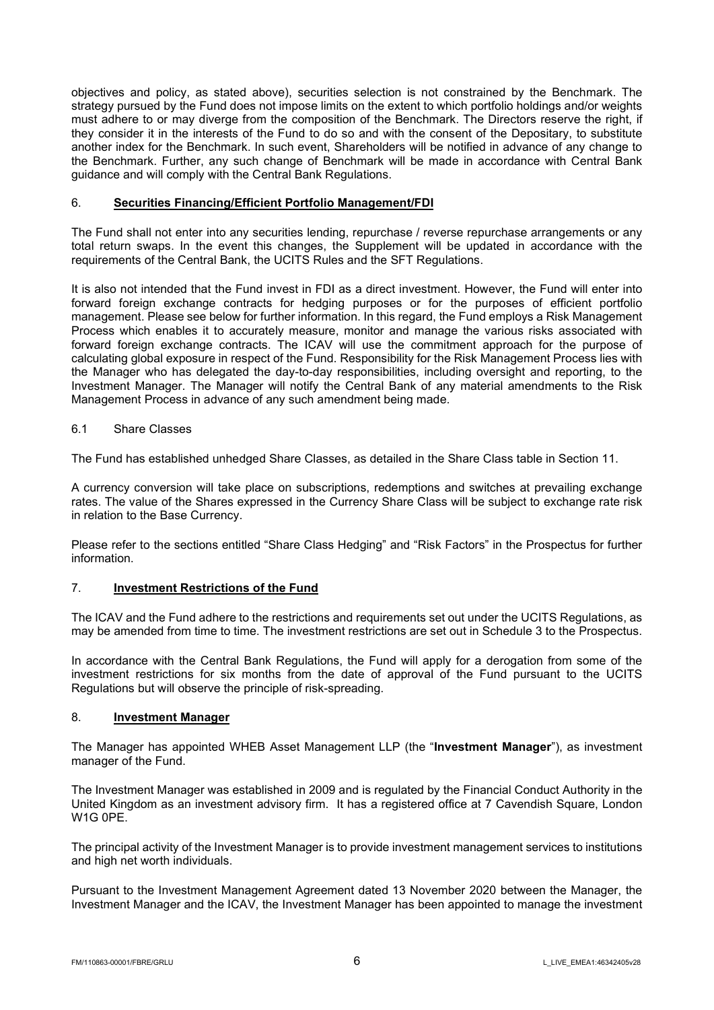objectives and policy, as stated above), securities selection is not constrained by the Benchmark. The strategy pursued by the Fund does not impose limits on the extent to which portfolio holdings and/or weights must adhere to or may diverge from the composition of the Benchmark. The Directors reserve the right, if they consider it in the interests of the Fund to do so and with the consent of the Depositary, to substitute another index for the Benchmark. In such event, Shareholders will be notified in advance of any change to the Benchmark. Further, any such change of Benchmark will be made in accordance with Central Bank guidance and will comply with the Central Bank Regulations.

## 6. Securities Financing/Efficient Portfolio Management/FDI

The Fund shall not enter into any securities lending, repurchase / reverse repurchase arrangements or any total return swaps. In the event this changes, the Supplement will be updated in accordance with the requirements of the Central Bank, the UCITS Rules and the SFT Regulations.

It is also not intended that the Fund invest in FDI as a direct investment. However, the Fund will enter into forward foreign exchange contracts for hedging purposes or for the purposes of efficient portfolio management. Please see below for further information. In this regard, the Fund employs a Risk Management Process which enables it to accurately measure, monitor and manage the various risks associated with forward foreign exchange contracts. The ICAV will use the commitment approach for the purpose of calculating global exposure in respect of the Fund. Responsibility for the Risk Management Process lies with the Manager who has delegated the day-to-day responsibilities, including oversight and reporting, to the Investment Manager. The Manager will notify the Central Bank of any material amendments to the Risk Management Process in advance of any such amendment being made.

## 6.1 Share Classes

The Fund has established unhedged Share Classes, as detailed in the Share Class table in Section 11.

A currency conversion will take place on subscriptions, redemptions and switches at prevailing exchange rates. The value of the Shares expressed in the Currency Share Class will be subject to exchange rate risk in relation to the Base Currency.

Please refer to the sections entitled "Share Class Hedging" and "Risk Factors" in the Prospectus for further information.

# 7. Investment Restrictions of the Fund

The ICAV and the Fund adhere to the restrictions and requirements set out under the UCITS Regulations, as may be amended from time to time. The investment restrictions are set out in Schedule 3 to the Prospectus.

In accordance with the Central Bank Regulations, the Fund will apply for a derogation from some of the investment restrictions for six months from the date of approval of the Fund pursuant to the UCITS Regulations but will observe the principle of risk-spreading.

### 8. Investment Manager

The Manager has appointed WHEB Asset Management LLP (the "Investment Manager"), as investment manager of the Fund.

The Investment Manager was established in 2009 and is regulated by the Financial Conduct Authority in the United Kingdom as an investment advisory firm. It has a registered office at 7 Cavendish Square, London W1G 0PE.

The principal activity of the Investment Manager is to provide investment management services to institutions and high net worth individuals.

Pursuant to the Investment Management Agreement dated 13 November 2020 between the Manager, the Investment Manager and the ICAV, the Investment Manager has been appointed to manage the investment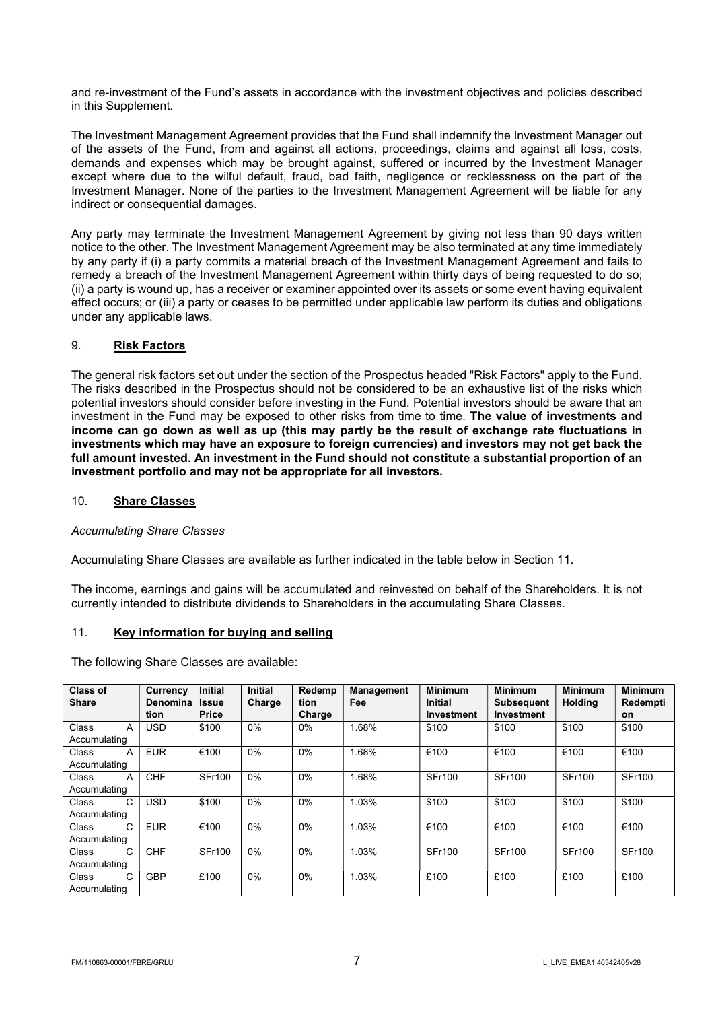and re-investment of the Fund's assets in accordance with the investment objectives and policies described in this Supplement.

The Investment Management Agreement provides that the Fund shall indemnify the Investment Manager out of the assets of the Fund, from and against all actions, proceedings, claims and against all loss, costs, demands and expenses which may be brought against, suffered or incurred by the Investment Manager except where due to the wilful default, fraud, bad faith, negligence or recklessness on the part of the Investment Manager. None of the parties to the Investment Management Agreement will be liable for any indirect or consequential damages.

Any party may terminate the Investment Management Agreement by giving not less than 90 days written notice to the other. The Investment Management Agreement may be also terminated at any time immediately by any party if (i) a party commits a material breach of the Investment Management Agreement and fails to remedy a breach of the Investment Management Agreement within thirty days of being requested to do so; (ii) a party is wound up, has a receiver or examiner appointed over its assets or some event having equivalent effect occurs; or (iii) a party or ceases to be permitted under applicable law perform its duties and obligations under any applicable laws.

## 9. Risk Factors

The general risk factors set out under the section of the Prospectus headed "Risk Factors" apply to the Fund. The risks described in the Prospectus should not be considered to be an exhaustive list of the risks which potential investors should consider before investing in the Fund. Potential investors should be aware that an investment in the Fund may be exposed to other risks from time to time. The value of investments and income can go down as well as up (this may partly be the result of exchange rate fluctuations in investments which may have an exposure to foreign currencies) and investors may not get back the full amount invested. An investment in the Fund should not constitute a substantial proportion of an investment portfolio and may not be appropriate for all investors.

### 10. Share Classes

Accumulating Share Classes

Accumulating Share Classes are available as further indicated in the table below in Section 11.

The income, earnings and gains will be accumulated and reinvested on behalf of the Shareholders. It is not currently intended to distribute dividends to Shareholders in the accumulating Share Classes.

### 11. Key information for buying and selling

The following Share Classes are available:

| <b>Class of</b> | Currency   | <b>Initial</b> | <b>Initial</b> | Redemp | <b>Management</b> | <b>Minimum</b> | <b>Minimum</b>    | <b>Minimum</b> | <b>Minimum</b> |
|-----------------|------------|----------------|----------------|--------|-------------------|----------------|-------------------|----------------|----------------|
| <b>Share</b>    | Denomina   | <b>Issue</b>   | Charge         | tion   | Fee               | <b>Initial</b> | <b>Subsequent</b> | <b>Holding</b> | Redempti       |
|                 | tion       | Price          |                | Charge |                   | Investment     | Investment        |                | on             |
| Class<br>A      | <b>USD</b> | \$100          | $0\%$          | $0\%$  | 1.68%             | \$100          | \$100             | \$100          | \$100          |
| Accumulating    |            |                |                |        |                   |                |                   |                |                |
| Class<br>A      | <b>EUR</b> | €100           | 0%             | $0\%$  | 1.68%             | €100           | €100              | €100           | €100           |
| Accumulating    |            |                |                |        |                   |                |                   |                |                |
| Class<br>A      | <b>CHF</b> | SFr100         | $0\%$          | $0\%$  | 1.68%             | <b>SFr100</b>  | <b>SFr100</b>     | <b>SFr100</b>  | <b>SFr100</b>  |
| Accumulating    |            |                |                |        |                   |                |                   |                |                |
| C<br>Class      | <b>USD</b> | \$100          | $0\%$          | 0%     | 1.03%             | \$100          | \$100             | \$100          | \$100          |
| Accumulating    |            |                |                |        |                   |                |                   |                |                |
| C<br>Class      | <b>EUR</b> | €100           | 0%             | $0\%$  | 1.03%             | €100           | €100              | €100           | €100           |
| Accumulating    |            |                |                |        |                   |                |                   |                |                |
| Class<br>C      | <b>CHF</b> | SFr100         | $0\%$          | $0\%$  | 1.03%             | <b>SFr100</b>  | <b>SFr100</b>     | <b>SFr100</b>  | <b>SFr100</b>  |
| Accumulating    |            |                |                |        |                   |                |                   |                |                |
| C<br>Class      | <b>GBP</b> | £100           | 0%             | 0%     | 1.03%             | £100           | £100              | £100           | £100           |
| Accumulating    |            |                |                |        |                   |                |                   |                |                |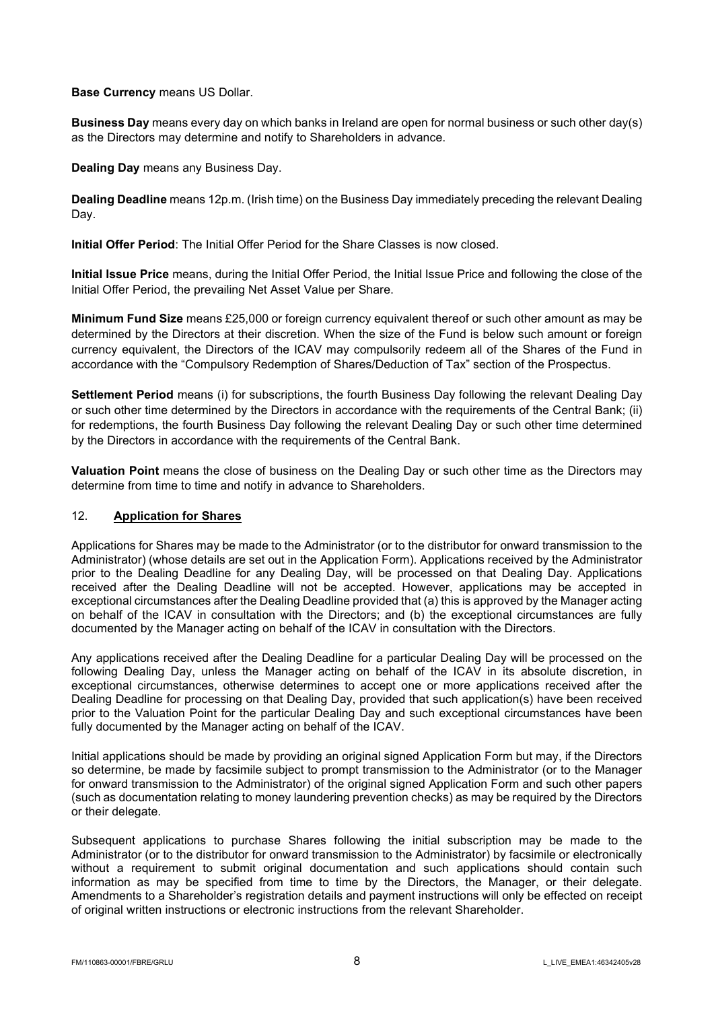Base Currency means US Dollar.

Business Day means every day on which banks in Ireland are open for normal business or such other day(s) as the Directors may determine and notify to Shareholders in advance.

Dealing Day means any Business Day.

Dealing Deadline means 12p.m. (Irish time) on the Business Day immediately preceding the relevant Dealing Day.

Initial Offer Period: The Initial Offer Period for the Share Classes is now closed.

Initial Issue Price means, during the Initial Offer Period, the Initial Issue Price and following the close of the Initial Offer Period, the prevailing Net Asset Value per Share.

Minimum Fund Size means £25,000 or foreign currency equivalent thereof or such other amount as may be determined by the Directors at their discretion. When the size of the Fund is below such amount or foreign currency equivalent, the Directors of the ICAV may compulsorily redeem all of the Shares of the Fund in accordance with the "Compulsory Redemption of Shares/Deduction of Tax" section of the Prospectus.

Settlement Period means (i) for subscriptions, the fourth Business Day following the relevant Dealing Day or such other time determined by the Directors in accordance with the requirements of the Central Bank; (ii) for redemptions, the fourth Business Day following the relevant Dealing Day or such other time determined by the Directors in accordance with the requirements of the Central Bank.

Valuation Point means the close of business on the Dealing Day or such other time as the Directors may determine from time to time and notify in advance to Shareholders.

## 12. Application for Shares

Applications for Shares may be made to the Administrator (or to the distributor for onward transmission to the Administrator) (whose details are set out in the Application Form). Applications received by the Administrator prior to the Dealing Deadline for any Dealing Day, will be processed on that Dealing Day. Applications received after the Dealing Deadline will not be accepted. However, applications may be accepted in exceptional circumstances after the Dealing Deadline provided that (a) this is approved by the Manager acting on behalf of the ICAV in consultation with the Directors; and (b) the exceptional circumstances are fully documented by the Manager acting on behalf of the ICAV in consultation with the Directors.

Any applications received after the Dealing Deadline for a particular Dealing Day will be processed on the following Dealing Day, unless the Manager acting on behalf of the ICAV in its absolute discretion, in exceptional circumstances, otherwise determines to accept one or more applications received after the Dealing Deadline for processing on that Dealing Day, provided that such application(s) have been received prior to the Valuation Point for the particular Dealing Day and such exceptional circumstances have been fully documented by the Manager acting on behalf of the ICAV.

Initial applications should be made by providing an original signed Application Form but may, if the Directors so determine, be made by facsimile subject to prompt transmission to the Administrator (or to the Manager for onward transmission to the Administrator) of the original signed Application Form and such other papers (such as documentation relating to money laundering prevention checks) as may be required by the Directors or their delegate.

Subsequent applications to purchase Shares following the initial subscription may be made to the Administrator (or to the distributor for onward transmission to the Administrator) by facsimile or electronically without a requirement to submit original documentation and such applications should contain such information as may be specified from time to time by the Directors, the Manager, or their delegate. Amendments to a Shareholder's registration details and payment instructions will only be effected on receipt of original written instructions or electronic instructions from the relevant Shareholder.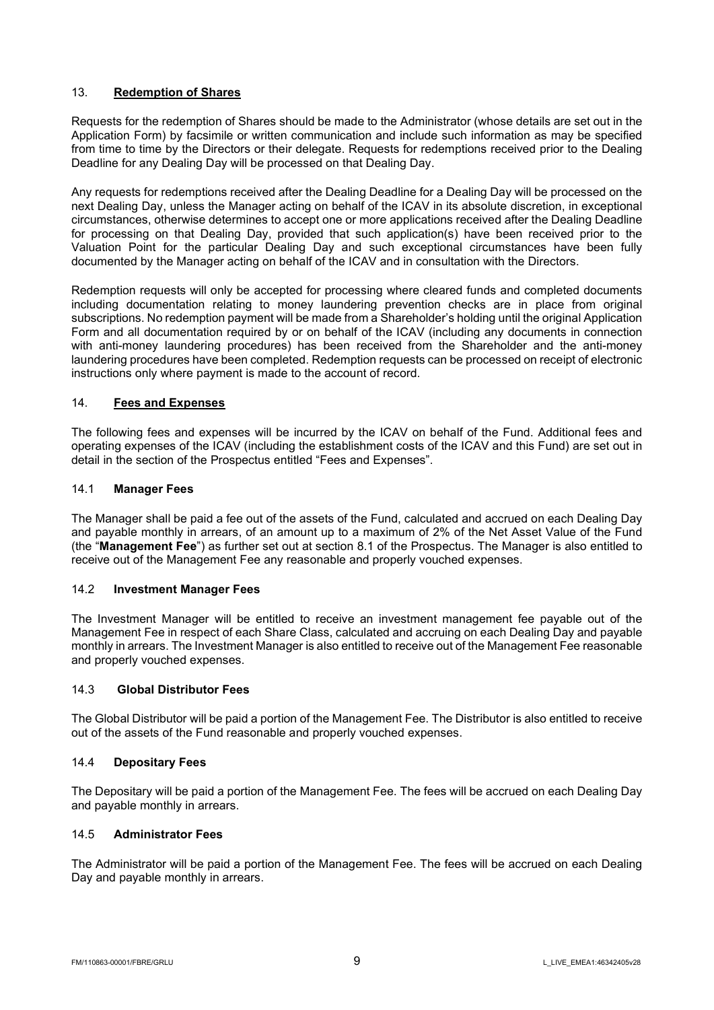## 13. Redemption of Shares

Requests for the redemption of Shares should be made to the Administrator (whose details are set out in the Application Form) by facsimile or written communication and include such information as may be specified from time to time by the Directors or their delegate. Requests for redemptions received prior to the Dealing Deadline for any Dealing Day will be processed on that Dealing Day.

Any requests for redemptions received after the Dealing Deadline for a Dealing Day will be processed on the next Dealing Day, unless the Manager acting on behalf of the ICAV in its absolute discretion, in exceptional circumstances, otherwise determines to accept one or more applications received after the Dealing Deadline for processing on that Dealing Day, provided that such application(s) have been received prior to the Valuation Point for the particular Dealing Day and such exceptional circumstances have been fully documented by the Manager acting on behalf of the ICAV and in consultation with the Directors.

Redemption requests will only be accepted for processing where cleared funds and completed documents including documentation relating to money laundering prevention checks are in place from original subscriptions. No redemption payment will be made from a Shareholder's holding until the original Application Form and all documentation required by or on behalf of the ICAV (including any documents in connection with anti-money laundering procedures) has been received from the Shareholder and the anti-money laundering procedures have been completed. Redemption requests can be processed on receipt of electronic instructions only where payment is made to the account of record.

## 14. Fees and Expenses

The following fees and expenses will be incurred by the ICAV on behalf of the Fund. Additional fees and operating expenses of the ICAV (including the establishment costs of the ICAV and this Fund) are set out in detail in the section of the Prospectus entitled "Fees and Expenses".

### 14.1 Manager Fees

The Manager shall be paid a fee out of the assets of the Fund, calculated and accrued on each Dealing Day and payable monthly in arrears, of an amount up to a maximum of 2% of the Net Asset Value of the Fund (the "Management Fee") as further set out at section 8.1 of the Prospectus. The Manager is also entitled to receive out of the Management Fee any reasonable and properly vouched expenses.

### 14.2 Investment Manager Fees

The Investment Manager will be entitled to receive an investment management fee payable out of the Management Fee in respect of each Share Class, calculated and accruing on each Dealing Day and payable monthly in arrears. The Investment Manager is also entitled to receive out of the Management Fee reasonable and properly vouched expenses.

### 14.3 Global Distributor Fees

The Global Distributor will be paid a portion of the Management Fee. The Distributor is also entitled to receive out of the assets of the Fund reasonable and properly vouched expenses.

### 14.4 Depositary Fees

The Depositary will be paid a portion of the Management Fee. The fees will be accrued on each Dealing Day and payable monthly in arrears.

### 14.5 Administrator Fees

The Administrator will be paid a portion of the Management Fee. The fees will be accrued on each Dealing Day and payable monthly in arrears.